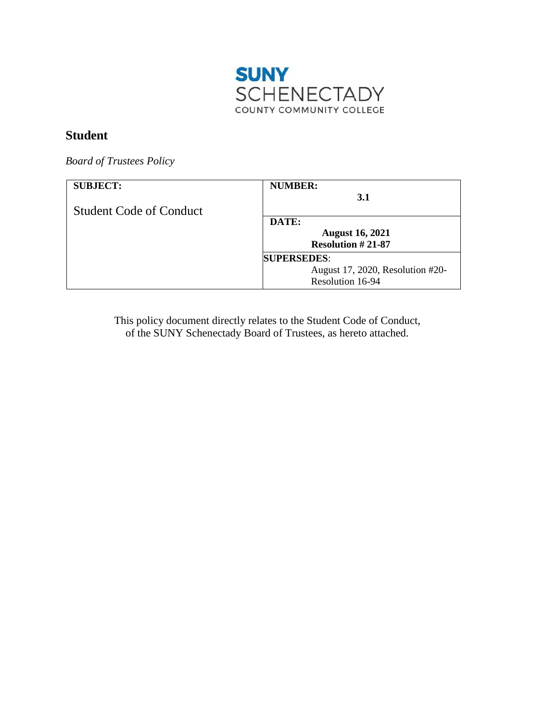

# **Student**

*Board of Trustees Policy* 

| <b>SUBJECT:</b>                | <b>NUMBER:</b><br><b>3.1</b>     |
|--------------------------------|----------------------------------|
| <b>Student Code of Conduct</b> |                                  |
|                                | DATE:                            |
|                                | <b>August 16, 2021</b>           |
|                                | <b>Resolution #21-87</b>         |
|                                | <b>SUPERSEDES:</b>               |
|                                | August 17, 2020, Resolution #20- |
|                                | Resolution 16-94                 |

This policy document directly relates to the Student Code of Conduct, of the SUNY Schenectady Board of Trustees, as hereto attached.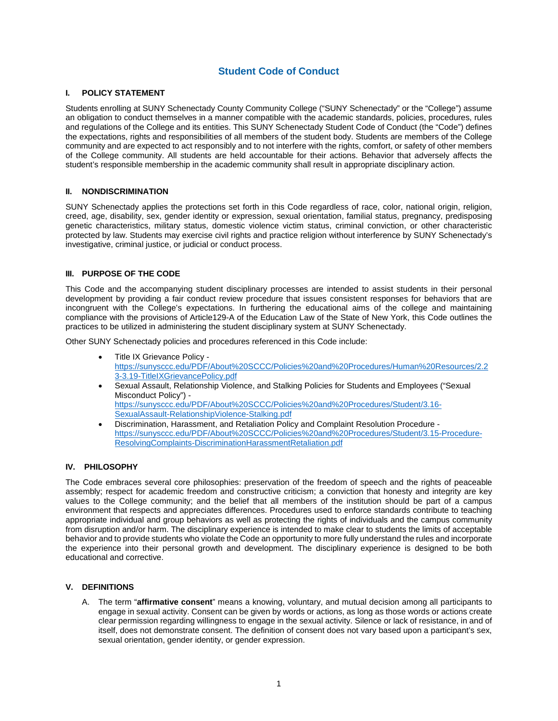# **Student Code of Conduct**

# **I. POLICY STATEMENT**

 Students enrolling at SUNY Schenectady County Community College ("SUNY Schenectady" or the "College") assume the expectations, rights and responsibilities of all members of the student body. Students are members of the College community and are expected to act responsibly and to not interfere with the rights, comfort, or safety of other members an obligation to conduct themselves in a manner compatible with the academic standards, policies, procedures, rules and regulations of the College and its entities. This SUNY Schenectady Student Code of Conduct (the "Code") defines of the College community. All students are held accountable for their actions. Behavior that adversely affects the student's responsible membership in the academic community shall result in appropriate disciplinary action.

#### **II. NONDISCRIMINATION**

 SUNY Schenectady applies the protections set forth in this Code regardless of race, color, national origin, religion, investigative, criminal justice, or judicial or conduct process. creed, age, disability, sex, gender identity or expression, sexual orientation, familial status, pregnancy, predisposing genetic characteristics, military status, domestic violence victim status, criminal conviction, or other characteristic protected by law. Students may exercise civil rights and practice religion without interference by SUNY Schenectady's

#### **III. PURPOSE OF THE CODE**

 development by providing a fair conduct review procedure that issues consistent responses for behaviors that are This Code and the accompanying student disciplinary processes are intended to assist students in their personal incongruent with the College's expectations. In furthering the educational aims of the college and maintaining compliance with the provisions of Article129-A of the Education Law of the State of New York, this Code outlines the practices to be utilized in administering the student disciplinary system at SUNY Schenectady.

Other SUNY Schenectady policies and procedures referenced in this Code include:

- Title IX Grievance Policy [https://sunysccc.edu/PDF/About%20SCCC/Policies%20and%20Procedures/Human%20Resources/2.2](https://sunysccc.edu/PDF/About%20SCCC/Policies%20and%20Procedures/Human%20Resources/2.23-3.19-TitleIXGrievancePolicy.pdf)  [3-3.19-TitleIXGrievancePolicy.pdf](https://sunysccc.edu/PDF/About%20SCCC/Policies%20and%20Procedures/Human%20Resources/2.23-3.19-TitleIXGrievancePolicy.pdf)
- Sexual Assault, Relationship Violence, and Stalking Policies for Students and Employees ("Sexual Misconduct Policy") [https://sunysccc.edu/PDF/About%20SCCC/Policies%20and%20Procedures/Student/3.16-](https://sunysccc.edu/PDF/About%20SCCC/Policies%20and%20Procedures/Student/3.16-SexualAssault-RelationshipViolence-Stalking.pdf) [SexualAssault-RelationshipViolence-Stalking.pdf](https://sunysccc.edu/PDF/About%20SCCC/Policies%20and%20Procedures/Student/3.16-SexualAssault-RelationshipViolence-Stalking.pdf)
- • Discrimination, Harassment, and Retaliation Policy and Complaint Resolution Procedure [https://sunysccc.edu/PDF/About%20SCCC/Policies%20and%20Procedures/Student/3.15-Procedure-](https://sunysccc.edu/PDF/About%20SCCC/Policies%20and%20Procedures/Student/3.15-Procedure-ResolvingComplaints-DiscriminationHarassmentRetaliation.pdf)[ResolvingComplaints-DiscriminationHarassmentRetaliation.pdf](https://sunysccc.edu/PDF/About%20SCCC/Policies%20and%20Procedures/Student/3.15-Procedure-ResolvingComplaints-DiscriminationHarassmentRetaliation.pdf)

# **IV. PHILOSOPHY**

 The Code embraces several core philosophies: preservation of the freedom of speech and the rights of peaceable values to the College community; and the belief that all members of the institution should be part of a campus appropriate individual and group behaviors as well as protecting the rights of individuals and the campus community from disruption and/or harm. The disciplinary experience is intended to make clear to students the limits of acceptable assembly; respect for academic freedom and constructive criticism; a conviction that honesty and integrity are key environment that respects and appreciates differences. Procedures used to enforce standards contribute to teaching behavior and to provide students who violate the Code an opportunity to more fully understand the rules and incorporate the experience into their personal growth and development. The disciplinary experience is designed to be both educational and corrective.

# **V. DEFINITIONS**

 engage in sexual activity. Consent can be given by words or actions, as long as those words or actions create itself, does not demonstrate consent. The definition of consent does not vary based upon a participant's sex, A. The term "**affirmative consent**" means a knowing, voluntary, and mutual decision among all participants to clear permission regarding willingness to engage in the sexual activity. Silence or lack of resistance, in and of sexual orientation, gender identity, or gender expression.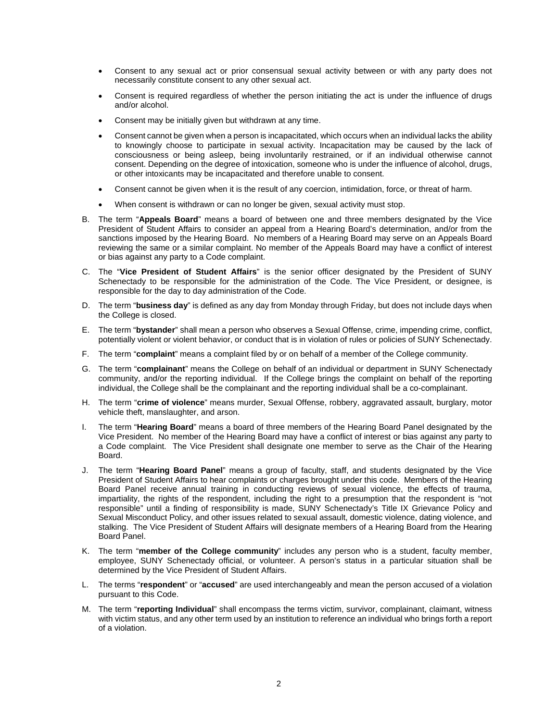- • Consent to any sexual act or prior consensual sexual activity between or with any party does not necessarily constitute consent to any other sexual act.
- • Consent is required regardless of whether the person initiating the act is under the influence of drugs and/or alcohol.
- Consent may be initially given but withdrawn at any time.
- • Consent cannot be given when a person is incapacitated, which occurs when an individual lacks the ability consciousness or being asleep, being involuntarily restrained, or if an individual otherwise cannot consent. Depending on the degree of intoxication, someone who is under the influence of alcohol, drugs, to knowingly choose to participate in sexual activity. Incapacitation may be caused by the lack of or other intoxicants may be incapacitated and therefore unable to consent.
- Consent cannot be given when it is the result of any coercion, intimidation, force, or threat of harm.
- When consent is withdrawn or can no longer be given, sexual activity must stop.
- B. The term "**Appeals Board**" means a board of between one and three members designated by the Vice President of Student Affairs to consider an appeal from a Hearing Board's determination, and/or from the sanctions imposed by the Hearing Board. No members of a Hearing Board may serve on an Appeals Board reviewing the same or a similar complaint. No member of the Appeals Board may have a conflict of interest or bias against any party to a Code complaint.
- C. The "**Vice President of Student Affairs**" is the senior officer designated by the President of SUNY Schenectady to be responsible for the administration of the Code. The Vice President, or designee, is responsible for the day to day administration of the Code.
- D. The term "**business day**" is defined as any day from Monday through Friday, but does not include days when the College is closed.
- E. The term "**bystander**" shall mean a person who observes a Sexual Offense, crime, impending crime, conflict, potentially violent or violent behavior, or conduct that is in violation of rules or policies of SUNY Schenectady.
- F. The term "**complaint**" means a complaint filed by or on behalf of a member of the College community.
- community, and/or the reporting individual. If the College brings the complaint on behalf of the reporting individual, the College shall be the complainant and the reporting individual shall be a co-complainant. G. The term "**complainant**" means the College on behalf of an individual or department in SUNY Schenectady
- H. The term "**crime of violence**" means murder, Sexual Offense, robbery, aggravated assault, burglary, motor vehicle theft, manslaughter, and arson.
- Vice President. No member of the Hearing Board may have a conflict of interest or bias against any party to Board. I. The term "**Hearing Board**" means a board of three members of the Hearing Board Panel designated by the a Code complaint. The Vice President shall designate one member to serve as the Chair of the Hearing
- Board. J. The term "**Hearing Board Panel**" means a group of faculty, staff, and students designated by the Vice President of Student Affairs to hear complaints or charges brought under this code. Members of the Hearing Board Panel receive annual training in conducting reviews of sexual violence, the effects of trauma, responsible" until a finding of responsibility is made, SUNY Schenectady's Title IX Grievance Policy and stalking. The Vice President of Student Affairs will designate members of a Hearing Board from the Hearing impartiality, the rights of the respondent, including the right to a presumption that the respondent is "not Sexual Misconduct Policy, and other issues related to sexual assault, domestic violence, dating violence, and Board Panel.
- K. The term "**member of the College community**" includes any person who is a student, faculty member, employee, SUNY Schenectady official, or volunteer. A person's status in a particular situation shall be determined by the Vice President of Student Affairs.
- pursuant to this Code. L. The terms "**respondent**" or "**accused**" are used interchangeably and mean the person accused of a violation
- with victim status, and any other term used by an institution to reference an individual who brings forth a report M. The term "reporting Individual" shall encompass the terms victim, survivor, complainant, claimant, witness of a violation.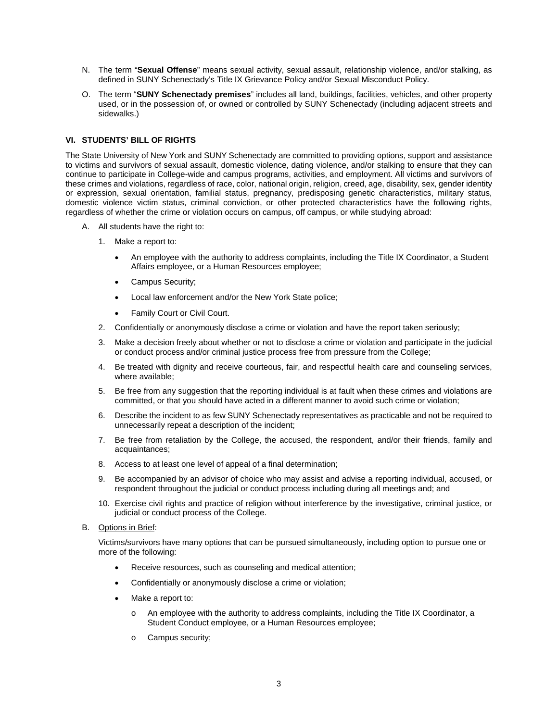- N. The term "**Sexual Offense**" means sexual activity, sexual assault, relationship violence, and/or stalking, as defined in SUNY Schenectady's Title IX Grievance Policy and/or Sexual Misconduct Policy.
- O. The term "**SUNY Schenectady premises**" includes all land, buildings, facilities, vehicles, and other property used, or in the possession of, or owned or controlled by SUNY Schenectady (including adjacent streets and sidewalks.)

# **VI. STUDENTS' BILL OF RIGHTS**

 to victims and survivors of sexual assault, domestic violence, dating violence, and/or stalking to ensure that they can continue to participate in College-wide and campus programs, activities, and employment. All victims and survivors of these crimes and violations, regardless of race, color, national origin, religion, creed, age, disability, sex, gender identity The State University of New York and SUNY Schenectady are committed to providing options, support and assistance or expression, sexual orientation, familial status, pregnancy, predisposing genetic characteristics, military status, domestic violence victim status, criminal conviction, or other protected characteristics have the following rights, regardless of whether the crime or violation occurs on campus, off campus, or while studying abroad:

- A. All students have the right to:
	- 1. Make a report to:
		- • An employee with the authority to address complaints, including the Title IX Coordinator, a Student Affairs employee, or a Human Resources employee;
		- Campus Security;
		- Local law enforcement and/or the New York State police;
		- Family Court or Civil Court.
	- 2. Confidentially or anonymously disclose a crime or violation and have the report taken seriously;
	- 3. Make a decision freely about whether or not to disclose a crime or violation and participate in the judicial or conduct process and/or criminal justice process free from pressure from the College;
	- 4. Be treated with dignity and receive courteous, fair, and respectful health care and counseling services, where available;
	- 5. Be free from any suggestion that the reporting individual is at fault when these crimes and violations are committed, or that you should have acted in a different manner to avoid such crime or violation;
	- 6. Describe the incident to as few SUNY Schenectady representatives as practicable and not be required to unnecessarily repeat a description of the incident;
	- 7. Be free from retaliation by the College, the accused, the respondent, and/or their friends, family and acquaintances;
	- 8. Access to at least one level of appeal of a final determination;
	- 9. Be accompanied by an advisor of choice who may assist and advise a reporting individual, accused, or respondent throughout the judicial or conduct process including during all meetings and; and
	- 10. Exercise civil rights and practice of religion without interference by the investigative, criminal justice, or judicial or conduct process of the College.
- B. Options in Brief:

Victims/survivors have many options that can be pursued simultaneously, including option to pursue one or more of the following:

- Receive resources, such as counseling and medical attention;
- Confidentially or anonymously disclose a crime or violation;
- Make a report to:
	- o An employee with the authority to address complaints, including the Title IX Coordinator, a Student Conduct employee, or a Human Resources employee;
	- o Campus security;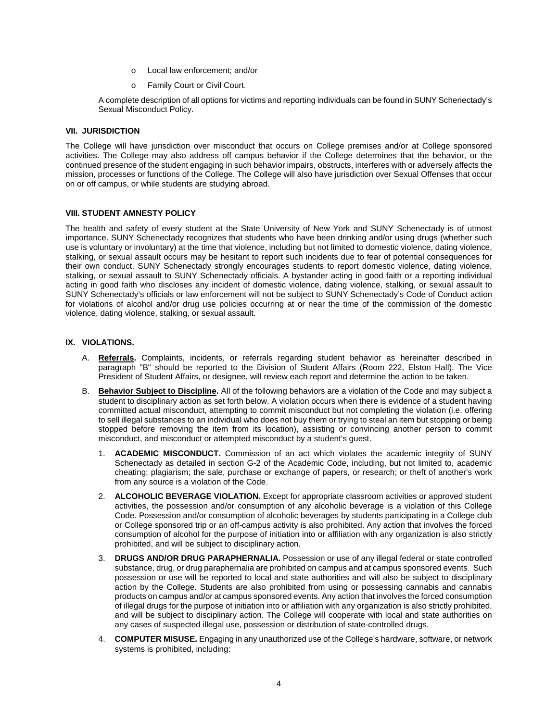- o Local law enforcement; and/or
- o Family Court or Civil Court.

A complete description of all options for victims and reporting individuals can be found in SUNY Schenectady's Sexual Misconduct Policy.

#### **VII. JURISDICTION**

 The College will have jurisdiction over misconduct that occurs on College premises and/or at College sponsored continued presence of the student engaging in such behavior impairs, obstructs, interferes with or adversely affects the activities. The College may also address off campus behavior if the College determines that the behavior, or the mission, processes or functions of the College. The College will also have jurisdiction over Sexual Offenses that occur on or off campus, or while students are studying abroad.

#### **VIII. STUDENT AMNESTY POLICY**

 importance. SUNY Schenectady recognizes that students who have been drinking and/or using drugs (whether such use is voluntary or involuntary) at the time that violence, including but not limited to domestic violence, dating violence, stalking, or sexual assault occurs may be hesitant to report such incidents due to fear of potential consequences for their own conduct. SUNY Schenectady strongly encourages students to report domestic violence, dating violence, SUNY Schenectady's officials or law enforcement will not be subject to SUNY Schenectady's Code of Conduct action violence, dating violence, stalking, or sexual assault. The health and safety of every student at the State University of New York and SUNY Schenectady is of utmost stalking, or sexual assault to SUNY Schenectady officials. A bystander acting in good faith or a reporting individual acting in good faith who discloses any incident of domestic violence, dating violence, stalking, or sexual assault to for violations of alcohol and/or drug use policies occurring at or near the time of the commission of the domestic

#### **IX. VIOLATIONS.**

- A. **Referrals.** Complaints, incidents, or referrals regarding student behavior as hereinafter described in President of Student Affairs, or designee, will review each report and determine the action to be taken. paragraph "B" should be reported to the Division of Student Affairs (Room 222, Elston Hall). The Vice
- committed actual misconduct, attempting to commit misconduct but not completing the violation (i.e. offering to sell illegal substances to an individual who does not buy them or trying to steal an item but stopping or being B. **Behavior Subject to Discipline.** All of the following behaviors are a violation of the Code and may subject a student to disciplinary action as set forth below. A violation occurs when there is evidence of a student having stopped before removing the item from its location), assisting or convincing another person to commit misconduct, and misconduct or attempted misconduct by a student's guest.
	- Schenectady as detailed in section G-2 of the Academic Code, including, but not limited to, academic cheating; plagiarism; the sale, purchase or exchange of papers, or research; or theft of another's work 1. **ACADEMIC MISCONDUCT.** Commission of an act which violates the academic integrity of SUNY from any source is a violation of the Code.
	- activities, the possession and/or consumption of any alcoholic beverage is a violation of this College or College sponsored trip or an off-campus activity is also prohibited. Any action that involves the forced 2. **ALCOHOLIC BEVERAGE VIOLATION.** Except for appropriate classroom activities or approved student Code. Possession and/or consumption of alcoholic beverages by students participating in a College club consumption of alcohol for the purpose of initiation into or affiliation with any organization is also strictly prohibited, and will be subject to disciplinary action.
	- 3. **DRUGS AND/OR DRUG PARAPHERNALIA.** Possession or use of any illegal federal or state controlled substance, drug, or drug paraphernalia are prohibited on campus and at campus sponsored events. Such possession or use will be reported to local and state authorities and will also be subject to disciplinary products on campus and/or at campus sponsored events. Any action that involves the forced consumption action by the College. Students are also prohibited from using or possessing cannabis and cannabis of illegal drugs for the purpose of initiation into or affiliation with any organization is also strictly prohibited, and will be subject to disciplinary action. The College will cooperate with local and state authorities on any cases of suspected illegal use, possession or distribution of state-controlled drugs.
	- 4. **COMPUTER MISUSE.** Engaging in any unauthorized use of the College's hardware, software, or network systems is prohibited, including: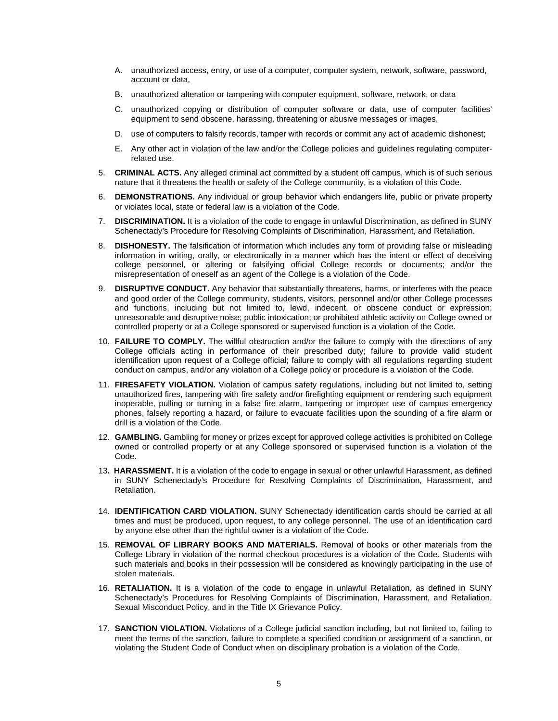- A. unauthorized access, entry, or use of a computer, computer system, network, software, password, account or data,
- B. unauthorized alteration or tampering with computer equipment, software, network, or data
- C. unauthorized copying or distribution of computer software or data, use of computer facilities' equipment to send obscene, harassing, threatening or abusive messages or images,
- D. use of computers to falsify records, tamper with records or commit any act of academic dishonest;
- related use. E. Any other act in violation of the law and/or the College policies and guidelines regulating computer-
- 5. **CRIMINAL ACTS.** Any alleged criminal act committed by a student off campus, which is of such serious nature that it threatens the health or safety of the College community, is a violation of this Code.
- 6. **DEMONSTRATIONS.** Any individual or group behavior which endangers life, public or private property or violates local, state or federal law is a violation of the Code.
- 7. **DISCRIMINATION.** It is a violation of the code to engage in unlawful Discrimination, as defined in SUNY Schenectady's Procedure for Resolving Complaints of Discrimination, Harassment, and Retaliation.
- 8. **DISHONESTY.** The falsification of information which includes any form of providing false or misleading information in writing, orally, or electronically in a manner which has the intent or effect of deceiving college personnel, or altering or falsifying official College records or documents; and/or the misrepresentation of oneself as an agent of the College is a violation of the Code.
- 9. **DISRUPTIVE CONDUCT.** Any behavior that substantially threatens, harms, or interferes with the peace and good order of the College community, students, visitors, personnel and/or other College processes and functions, including but not limited to, lewd, indecent, or obscene conduct or expression; unreasonable and disruptive noise; public intoxication; or prohibited athletic activity on College owned or controlled property or at a College sponsored or supervised function is a violation of the Code.
- 10. **FAILURE TO COMPLY.** The willful obstruction and/or the failure to comply with the directions of any College officials acting in performance of their prescribed duty; failure to provide valid student identification upon request of a College official; failure to comply with all regulations regarding student conduct on campus, and/or any violation of a College policy or procedure is a violation of the Code.
- unauthorized fires, tampering with fire safety and/or firefighting equipment or rendering such equipment 11. **FIRESAFETY VIOLATION.** Violation of campus safety regulations, including but not limited to, setting inoperable, pulling or turning in a false fire alarm, tampering or improper use of campus emergency phones, falsely reporting a hazard, or failure to evacuate facilities upon the sounding of a fire alarm or drill is a violation of the Code.
- 12. **GAMBLING.** Gambling for money or prizes except for approved college activities is prohibited on College owned or controlled property or at any College sponsored or supervised function is a violation of the Code.
- 13**. HARASSMENT.** It is a violation of the code to engage in sexual or other unlawful Harassment, as defined in SUNY Schenectady's Procedure for Resolving Complaints of Discrimination, Harassment, and Retaliation.
- times and must be produced, upon request, to any college personnel. The use of an identification card 14. **IDENTIFICATION CARD VIOLATION.** SUNY Schenectady identification cards should be carried at all by anyone else other than the rightful owner is a violation of the Code.
- College Library in violation of the normal checkout procedures is a violation of the Code. Students with 15. **REMOVAL OF LIBRARY BOOKS AND MATERIALS.** Removal of books or other materials from the such materials and books in their possession will be considered as knowingly participating in the use of stolen materials.
- Schenectady's Procedures for Resolving Complaints of Discrimination, Harassment, and Retaliation, 16. **RETALIATION.** It is a violation of the code to engage in unlawful Retaliation, as defined in SUNY Sexual Misconduct Policy, and in the Title IX Grievance Policy.
- 17. **SANCTION VIOLATION.** Violations of a College judicial sanction including, but not limited to, failing to meet the terms of the sanction, failure to complete a specified condition or assignment of a sanction, or violating the Student Code of Conduct when on disciplinary probation is a violation of the Code.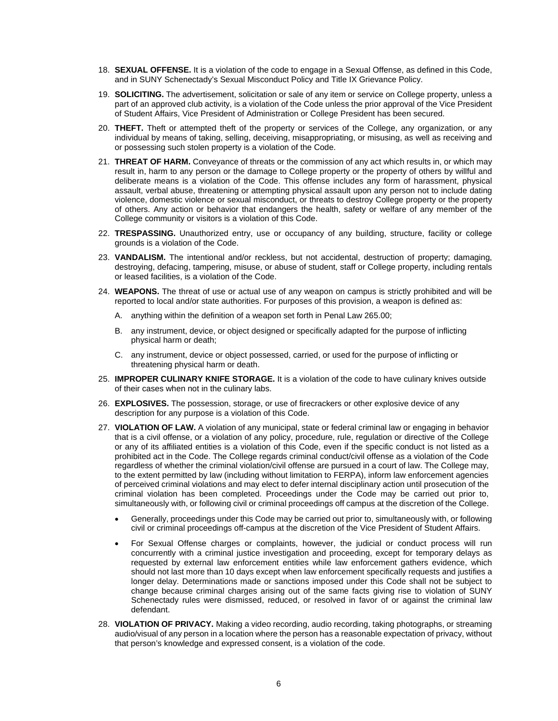- 18. **SEXUAL OFFENSE.** It is a violation of the code to engage in a Sexual Offense, as defined in this Code, and in SUNY Schenectady's Sexual Misconduct Policy and Title IX Grievance Policy.
- part of an approved club activity, is a violation of the Code unless the prior approval of the Vice President 19. **SOLICITING.** The advertisement, solicitation or sale of any item or service on College property, unless a of Student Affairs, Vice President of Administration or College President has been secured.
- 20. **THEFT.** Theft or attempted theft of the property or services of the College, any organization, or any individual by means of taking, selling, deceiving, misappropriating, or misusing, as well as receiving and or possessing such stolen property is a violation of the Code.
- 21. **THREAT OF HARM.** Conveyance of threats or the commission of any act which results in, or which may result in, harm to any person or the damage to College property or the property of others by willful and of others. Any action or behavior that endangers the health, safety or welfare of any member of the deliberate means is a violation of the Code. This offense includes any form of harassment, physical assault, verbal abuse, threatening or attempting physical assault upon any person not to include dating violence, domestic violence or sexual misconduct, or threats to destroy College property or the property College community or visitors is a violation of this Code.
- 22. **TRESPASSING.** Unauthorized entry, use or occupancy of any building, structure, facility or college grounds is a violation of the Code.
- destroying, defacing, tampering, misuse, or abuse of student, staff or College property, including rentals 23. **VANDALISM.** The intentional and/or reckless, but not accidental, destruction of property; damaging, or leased facilities, is a violation of the Code.
- 24. **WEAPONS.** The threat of use or actual use of any weapon on campus is strictly prohibited and will be reported to local and/or state authorities. For purposes of this provision, a weapon is defined as:
	- A. anything within the definition of a weapon set forth in Penal Law 265.00;
	- B. any instrument, device, or object designed or specifically adapted for the purpose of inflicting physical harm or death;
	- C. any instrument, device or object possessed, carried, or used for the purpose of inflicting or threatening physical harm or death.
- 25. **IMPROPER CULINARY KNIFE STORAGE.** It is a violation of the code to have culinary knives outside of their cases when not in the culinary labs.
- 26. **EXPLOSIVES.** The possession, storage, or use of firecrackers or other explosive device of any description for any purpose is a violation of this Code.
- 27. **VIOLATION OF LAW.** A violation of any municipal, state or federal criminal law or engaging in behavior that is a civil offense, or a violation of any policy, procedure, rule, regulation or directive of the College or any of its affiliated entities is a violation of this Code, even if the specific conduct is not listed as a prohibited act in the Code. The College regards criminal conduct/civil offense as a violation of the Code simultaneously with, or following civil or criminal proceedings off campus at the discretion of the College. regardless of whether the criminal violation/civil offense are pursued in a court of law. The College may, to the extent permitted by law (including without limitation to FERPA), inform law enforcement agencies of perceived criminal violations and may elect to defer internal disciplinary action until prosecution of the criminal violation has been completed. Proceedings under the Code may be carried out prior to,
	- • Generally, proceedings under this Code may be carried out prior to, simultaneously with, or following civil or criminal proceedings off-campus at the discretion of the Vice President of Student Affairs.
	- concurrently with a criminal justice investigation and proceeding, except for temporary delays as longer delay. Determinations made or sanctions imposed under this Code shall not be subject to Schenectady rules were dismissed, reduced, or resolved in favor of or against the criminal law • For Sexual Offense charges or complaints, however, the judicial or conduct process will run requested by external law enforcement entities while law enforcement gathers evidence, which should not last more than 10 days except when law enforcement specifically requests and justifies a change because criminal charges arising out of the same facts giving rise to violation of SUNY defendant.
- that person's knowledge and expressed consent, is a violation of the code. 28. **VIOLATION OF PRIVACY.** Making a video recording, audio recording, taking photographs, or streaming audio/visual of any person in a location where the person has a reasonable expectation of privacy, without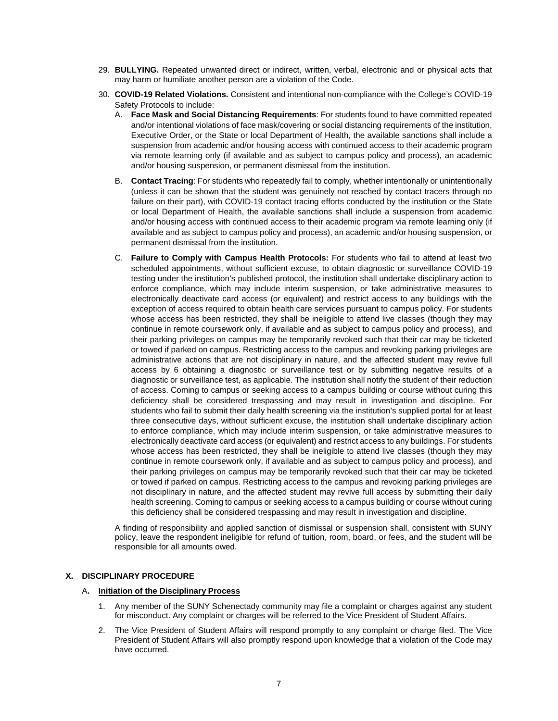- 29. **BULLYING.** Repeated unwanted direct or indirect, written, verbal, electronic and or physical acts that may harm or humiliate another person are a violation of the Code.
- 30. **COVID-19 Related Violations.** Consistent and intentional non-compliance with the College's COVID-19 Safety Protocols to include:
	- A. **Face Mask and Social Distancing Requirements**: For students found to have committed repeated via remote learning only (if available and as subject to campus policy and process), an academic and/or intentional violations of face mask/covering or social distancing requirements of the institution, Executive Order, or the State or local Department of Health, the available sanctions shall include a suspension from academic and/or housing access with continued access to their academic program and/or housing suspension, or permanent dismissal from the institution.
	- (unless it can be shown that the student was genuinely not reached by contact tracers through no available and as subject to campus policy and process), an academic and/or housing suspension, or permanent dismissal from the institution. B. **Contact Tracing**: For students who repeatedly fail to comply, whether intentionally or unintentionally failure on their part), with COVID-19 contact tracing efforts conducted by the institution or the State or local Department of Health, the available sanctions shall include a suspension from academic and/or housing access with continued access to their academic program via remote learning only (if
	- C. **Failure to Comply with Campus Health Protocols:** For students who fail to attend at least two scheduled appointments, without sufficient excuse, to obtain diagnostic or surveillance COVID-19 testing under the institution's published protocol, the institution shall undertake disciplinary action to electronically deactivate card access (or equivalent) and restrict access to any buildings with the exception of access required to obtain health care services pursuant to campus policy. For students whose access has been restricted, they shall be ineligible to attend live classes (though they may continue in remote coursework only, if available and as subject to campus policy and process), and their parking privileges on campus may be temporarily revoked such that their car may be ticketed access by 6 obtaining a diagnostic or surveillance test or by submitting negative results of a diagnostic or surveillance test, as applicable. The institution shall notify the student of their reduction of access. Coming to campus or seeking access to a campus building or course without curing this electronically deactivate card access (or equivalent) and restrict access to any buildings. For students whose access has been restricted, they shall be ineligible to attend live classes (though they may continue in remote coursework only, if available and as subject to campus policy and process), and their parking privileges on campus may be temporarily revoked such that their car may be ticketed not disciplinary in nature, and the affected student may revive full access by submitting their daily this deficiency shall be considered trespassing and may result in investigation and discipline. enforce compliance, which may include interim suspension, or take administrative measures to or towed if parked on campus. Restricting access to the campus and revoking parking privileges are administrative actions that are not disciplinary in nature, and the affected student may revive full deficiency shall be considered trespassing and may result in investigation and discipline. For students who fail to submit their daily health screening via the institution's supplied portal for at least three consecutive days, without sufficient excuse, the institution shall undertake disciplinary action to enforce compliance, which may include interim suspension, or take administrative measures to or towed if parked on campus. Restricting access to the campus and revoking parking privileges are health screening. Coming to campus or seeking access to a campus building or course without curing

 policy, leave the respondent ineligible for refund of tuition, room, board, or fees, and the student will be A finding of responsibility and applied sanction of dismissal or suspension shall, consistent with SUNY responsible for all amounts owed.

# **X. DISCIPLINARY PROCEDURE**

#### A**. Initiation of the Disciplinary Process**

- 1. Any member of the SUNY Schenectady community may file a complaint or charges against any student for misconduct. Any complaint or charges will be referred to the Vice President of Student Affairs.
- 2. The Vice President of Student Affairs will respond promptly to any complaint or charge filed. The Vice President of Student Affairs will also promptly respond upon knowledge that a violation of the Code may have occurred.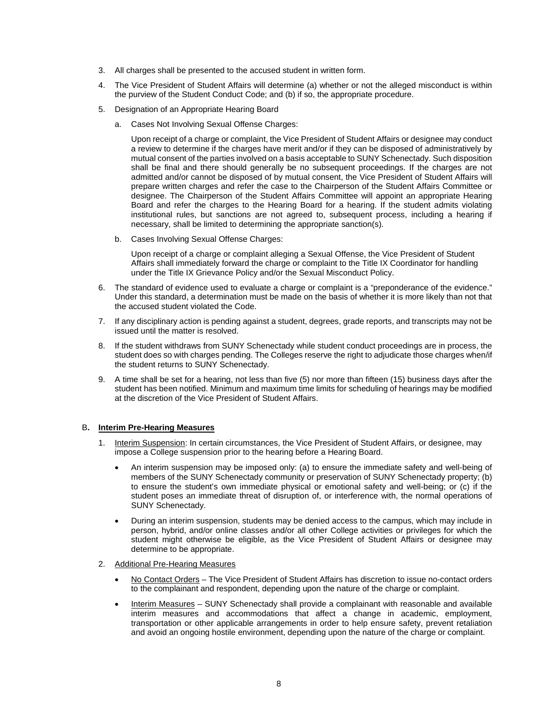- 3. All charges shall be presented to the accused student in written form.
- 4. The Vice President of Student Affairs will determine (a) whether or not the alleged misconduct is within the purview of the Student Conduct Code; and (b) if so, the appropriate procedure.
- 5. Designation of an Appropriate Hearing Board
	- a. Cases Not Involving Sexual Offense Charges:

 a review to determine if the charges have merit and/or if they can be disposed of administratively by mutual consent of the parties involved on a basis acceptable to SUNY Schenectady. Such disposition admitted and/or cannot be disposed of by mutual consent, the Vice President of Student Affairs will prepare written charges and refer the case to the Chairperson of the Student Affairs Committee or Board and refer the charges to the Hearing Board for a hearing. If the student admits violating institutional rules, but sanctions are not agreed to, subsequent process, including a hearing if Upon receipt of a charge or complaint, the Vice President of Student Affairs or designee may conduct shall be final and there should generally be no subsequent proceedings. If the charges are not designee. The Chairperson of the Student Affairs Committee will appoint an appropriate Hearing necessary, shall be limited to determining the appropriate sanction(s).

b. Cases Involving Sexual Offense Charges:

 Upon receipt of a charge or complaint alleging a Sexual Offense, the Vice President of Student Affairs shall immediately forward the charge or complaint to the Title IX Coordinator for handling under the Title IX Grievance Policy and/or the Sexual Misconduct Policy.

- 6. The standard of evidence used to evaluate a charge or complaint is a "preponderance of the evidence." Under this standard, a determination must be made on the basis of whether it is more likely than not that the accused student violated the Code.
- 7. If any disciplinary action is pending against a student, degrees, grade reports, and transcripts may not be issued until the matter is resolved.
- 8. If the student withdraws from SUNY Schenectady while student conduct proceedings are in process, the student does so with charges pending. The Colleges reserve the right to adjudicate those charges when/if the student returns to SUNY Schenectady.
- 9. A time shall be set for a hearing, not less than five (5) nor more than fifteen (15) business days after the student has been notified. Minimum and maximum time limits for scheduling of hearings may be modified at the discretion of the Vice President of Student Affairs.

#### B**. Interim Pre-Hearing Measures**

- 1. Interim Suspension: In certain circumstances, the Vice President of Student Affairs, or designee, may impose a College suspension prior to the hearing before a Hearing Board.
	- • An interim suspension may be imposed only: (a) to ensure the immediate safety and well-being of to ensure the student's own immediate physical or emotional safety and well-being; or (c) if the members of the SUNY Schenectady community or preservation of SUNY Schenectady property; (b) student poses an immediate threat of disruption of, or interference with, the normal operations of SUNY Schenectady.
	- • During an interim suspension, students may be denied access to the campus, which may include in person, hybrid, and/or online classes and/or all other College activities or privileges for which the student might otherwise be eligible, as the Vice President of Student Affairs or designee may determine to be appropriate.
- 2. Additional Pre-Hearing Measures
	- No Contact Orders The Vice President of Student Affairs has discretion to issue no-contact orders to the complainant and respondent, depending upon the nature of the charge or complaint.
	- Interim Measures SUNY Schenectady shall provide a complainant with reasonable and available transportation or other applicable arrangements in order to help ensure safety, prevent retaliation interim measures and accommodations that affect a change in academic, employment, and avoid an ongoing hostile environment, depending upon the nature of the charge or complaint.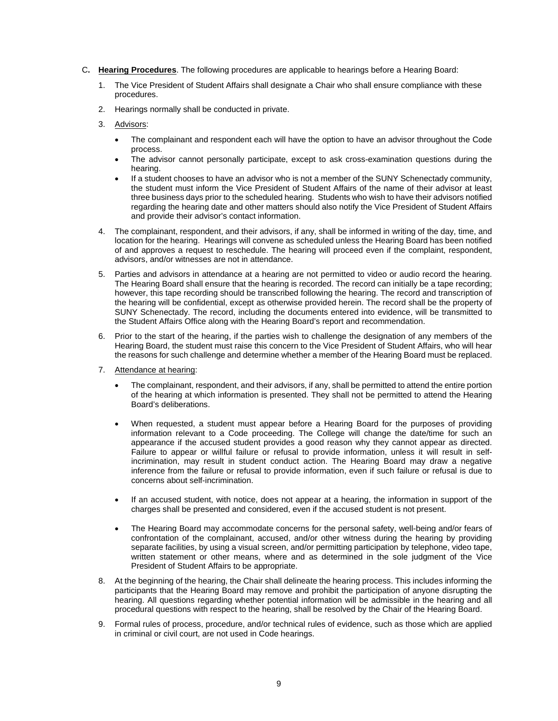- C**. Hearing Procedures**. The following procedures are applicable to hearings before a Hearing Board:
	- 1. The Vice President of Student Affairs shall designate a Chair who shall ensure compliance with these procedures.
	- 2. Hearings normally shall be conducted in private.<br>3. <u>Advisors</u>:
	- - process. • The complainant and respondent each will have the option to have an advisor throughout the Code
		- hearing. • The advisor cannot personally participate, except to ask cross-examination questions during the
		- the student must inform the Vice President of Student Affairs of the name of their advisor at least regarding the hearing date and other matters should also notify the Vice President of Student Affairs and provide their advisor's contact information. • If a student chooses to have an advisor who is not a member of the SUNY Schenectady community, three business days prior to the scheduled hearing. Students who wish to have their advisors notified
	- 4. The complainant, respondent, and their advisors, if any, shall be informed in writing of the day, time, and location for the hearing. Hearings will convene as scheduled unless the Hearing Board has been notified of and approves a request to reschedule. The hearing will proceed even if the complaint, respondent, advisors, and/or witnesses are not in attendance.
	- 5. Parties and advisors in attendance at a hearing are not permitted to video or audio record the hearing. the hearing will be confidential, except as otherwise provided herein. The record shall be the property of The Hearing Board shall ensure that the hearing is recorded. The record can initially be a tape recording: however, this tape recording should be transcribed following the hearing. The record and transcription of SUNY Schenectady. The record, including the documents entered into evidence, will be transmitted to the Student Affairs Office along with the Hearing Board's report and recommendation.
	- the reasons for such challenge and determine whether a member of the Hearing Board must be replaced. 6. Prior to the start of the hearing, if the parties wish to challenge the designation of any members of the Hearing Board, the student must raise this concern to the Vice President of Student Affairs, who will hear
	- 7. Attendance at hearing:
		- • The complainant, respondent, and their advisors, if any, shall be permitted to attend the entire portion of the hearing at which information is presented. They shall not be permitted to attend the Hearing Board's deliberations.
		- • When requested, a student must appear before a Hearing Board for the purposes of providing information relevant to a Code proceeding. The College will change the date/time for such an appearance if the accused student provides a good reason why they cannot appear as directed. Failure to appear or willful failure or refusal to provide information, unless it will result in selfincrimination, may result in student conduct action. The Hearing Board may draw a negative inference from the failure or refusal to provide information, even if such failure or refusal is due to concerns about self-incrimination.
		- charges shall be presented and considered, even if the accused student is not present. If an accused student, with notice, does not appear at a hearing, the information in support of the
		- • The Hearing Board may accommodate concerns for the personal safety, well-being and/or fears of confrontation of the complainant, accused, and/or other witness during the hearing by providing separate facilities, by using a visual screen, and/or permitting participation by telephone, video tape, written statement or other means, where and as determined in the sole judgment of the Vice President of Student Affairs to be appropriate.
	- 8. At the beginning of the hearing, the Chair shall delineate the hearing process. This includes informing the participants that the Hearing Board may remove and prohibit the participation of anyone disrupting the hearing. All questions regarding whether potential information will be admissible in the hearing and all procedural questions with respect to the hearing, shall be resolved by the Chair of the Hearing Board.
	- 9. Formal rules of process, procedure, and/or technical rules of evidence, such as those which are applied in criminal or civil court, are not used in Code hearings.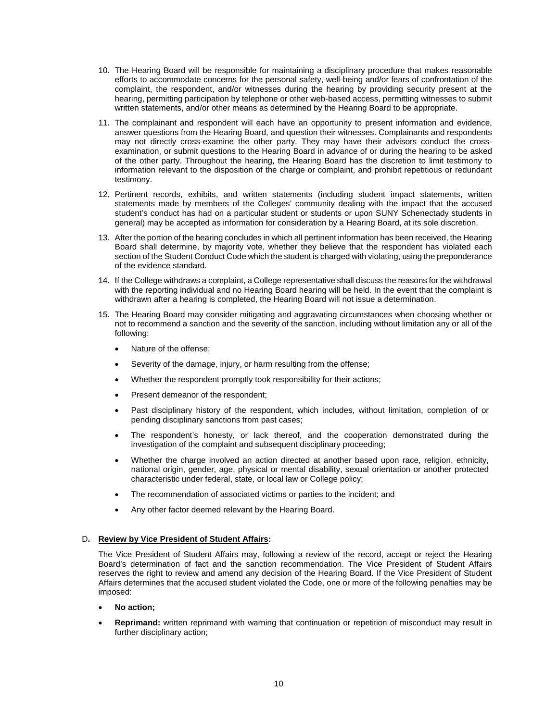- complaint, the respondent, and/or witnesses during the hearing by providing security present at the 10. The Hearing Board will be responsible for maintaining a disciplinary procedure that makes reasonable efforts to accommodate concerns for the personal safety, well-being and/or fears of confrontation of the hearing, permitting participation by telephone or other web-based access, permitting witnesses to submit written statements, and/or other means as determined by the Hearing Board to be appropriate.
- 11. The complainant and respondent will each have an opportunity to present information and evidence, examination, or submit questions to the Hearing Board in advance of or during the hearing to be asked of the other party. Throughout the hearing, the Hearing Board has the discretion to limit testimony to answer questions from the Hearing Board, and question their witnesses. Complainants and respondents may not directly cross-examine the other party. They may have their advisors conduct the crossinformation relevant to the disposition of the charge or complaint, and prohibit repetitious or redundant testimony.
- 12. Pertinent records, exhibits, and written statements (including student impact statements, written statements made by members of the Colleges' community dealing with the impact that the accused general) may be accepted as information for consideration by a Hearing Board, at its sole discretion. student's conduct has had on a particular student or students or upon SUNY Schenectady students in
- 13. After the portion of the hearing concludes in which all pertinent information has been received, the Hearing section of the Student Conduct Code which the student is charged with violating, using the preponderance Board shall determine, by majority vote, whether they believe that the respondent has violated each of the evidence standard.
- 14. If the College withdraws a complaint, a College representative shall discuss the reasons for the withdrawal with the reporting individual and no Hearing Board hearing will be held. In the event that the complaint is withdrawn after a hearing is completed, the Hearing Board will not issue a determination.
- 15. The Hearing Board may consider mitigating and aggravating circumstances when choosing whether or not to recommend a sanction and the severity of the sanction, including without limitation any or all of the following:
	- Nature of the offense:
	- Severity of the damage, injury, or harm resulting from the offense;
	- Whether the respondent promptly took responsibility for their actions;
	- Present demeanor of the respondent;
	- Past disciplinary history of the respondent, which includes, without limitation, completion of or pending disciplinary sanctions from past cases;
	- The respondent's honesty, or lack thereof, and the cooperation demonstrated during the investigation of the complaint and subsequent disciplinary proceeding;
	- national origin, gender, age, physical or mental disability, sexual orientation or another protected • Whether the charge involved an action directed at another based upon race, religion, ethnicity, characteristic under federal, state, or local law or College policy;
	- The recommendation of associated victims or parties to the incident; and
	- Any other factor deemed relevant by the Hearing Board.

#### D**. Review by Vice President of Student Affairs:**

 The Vice President of Student Affairs may, following a review of the record, accept or reject the Hearing reserves the right to review and amend any decision of the Hearing Board. If the Vice President of Student Board's determination of fact and the sanction recommendation. The Vice President of Student Affairs Affairs determines that the accused student violated the Code, one or more of the following penalties may be imposed:

#### • **No action;**

 • **Reprimand:** written reprimand with warning that continuation or repetition of misconduct may result in further disciplinary action;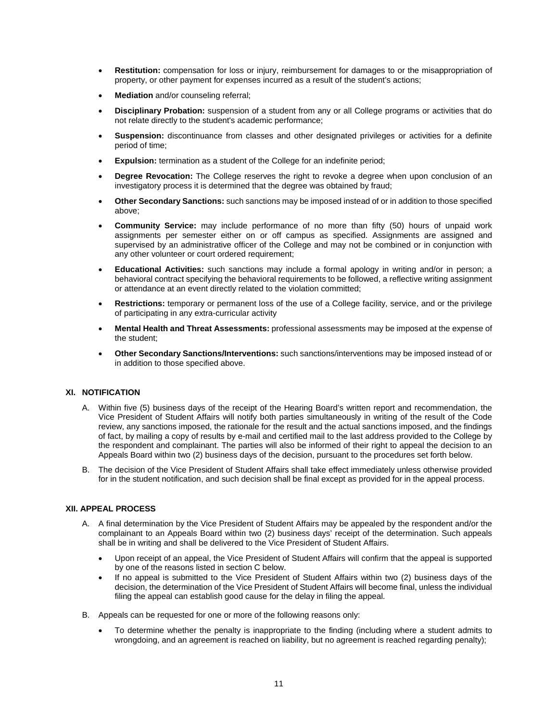- • **Restitution:** compensation for loss or injury, reimbursement for damages to or the misappropriation of property, or other payment for expenses incurred as a result of the student's actions;
- **Mediation** and/or counseling referral;
- **Disciplinary Probation:** suspension of a student from any or all College programs or activities that do not relate directly to the student's academic performance;
- **Suspension:** discontinuance from classes and other designated privileges or activities for a definite period of time;
- **Expulsion:** termination as a student of the College for an indefinite period;
- investigatory process it is determined that the degree was obtained by fraud; • **Degree Revocation:** The College reserves the right to revoke a degree when upon conclusion of an
- **Other Secondary Sanctions:** such sanctions may be imposed instead of or in addition to those specified above;
- **Community Service:** may include performance of no more than fifty (50) hours of unpaid work assignments per semester either on or off campus as specified. Assignments are assigned and supervised by an administrative officer of the College and may not be combined or in conjunction with any other volunteer or court ordered requirement;
- behavioral contract specifying the behavioral requirements to be followed, a reflective writing assignment • **Educational Activities:** such sanctions may include a formal apology in writing and/or in person; a or attendance at an event directly related to the violation committed;
- **Restrictions:** temporary or permanent loss of the use of a College facility, service, and or the privilege of participating in any extra-curricular activity
- **Mental Health and Threat Assessments:** professional assessments may be imposed at the expense of the student;
- • **Other Secondary Sanctions/Interventions:** such sanctions/interventions may be imposed instead of or in addition to those specified above.

#### **XI. NOTIFICATION**

- A. Within five (5) business days of the receipt of the Hearing Board's written report and recommendation, the Vice President of Student Affairs will notify both parties simultaneously in writing of the result of the Code of fact, by mailing a copy of results by e-mail and certified mail to the last address provided to the College by Appeals Board within two (2) business days of the decision, pursuant to the procedures set forth below. review, any sanctions imposed, the rationale for the result and the actual sanctions imposed, and the findings the respondent and complainant. The parties will also be informed of their right to appeal the decision to an
- B. The decision of the Vice President of Student Affairs shall take effect immediately unless otherwise provided for in the student notification, and such decision shall be final except as provided for in the appeal process.

# **XII. APPEAL PROCESS**

- A. A final determination by the Vice President of Student Affairs may be appealed by the respondent and/or the complainant to an Appeals Board within two (2) business days' receipt of the determination. Such appeals shall be in writing and shall be delivered to the Vice President of Student Affairs.
	- by one of the reasons listed in section C below. • Upon receipt of an appeal, the Vice President of Student Affairs will confirm that the appeal is supported
	- If no appeal is submitted to the Vice President of Student Affairs within two (2) business days of the decision, the determination of the Vice President of Student Affairs will become final, unless the individual filing the appeal can establish good cause for the delay in filing the appeal.
- B. Appeals can be requested for one or more of the following reasons only:
	- To determine whether the penalty is inappropriate to the finding (including where a student admits to wrongdoing, and an agreement is reached on liability, but no agreement is reached regarding penalty);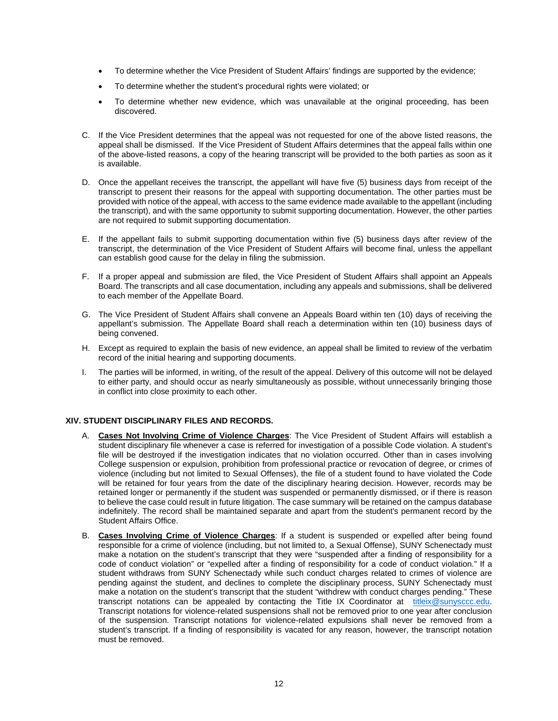- To determine whether the Vice President of Student Affairs' findings are supported by the evidence;
- To determine whether the student's procedural rights were violated; or
- • To determine whether new evidence, which was unavailable at the original proceeding, has been discovered.
- C. If the Vice President determines that the appeal was not requested for one of the above listed reasons, the appeal shall be dismissed. If the Vice President of Student Affairs determines that the appeal falls within one of the above-listed reasons, a copy of the hearing transcript will be provided to the both parties as soon as it is available.
- D. Once the appellant receives the transcript, the appellant will have five (5) business days from receipt of the provided with notice of the appeal, with access to the same evidence made available to the appellant (including the transcript), and with the same opportunity to submit supporting documentation. However, the other parties transcript to present their reasons for the appeal with supporting documentation. The other parties must be are not required to submit supporting documentation.
- E. If the appellant fails to submit supporting documentation within five (5) business days after review of the transcript, the determination of the Vice President of Student Affairs will become final, unless the appellant can establish good cause for the delay in filing the submission.
- F. If a proper appeal and submission are filed, the Vice President of Student Affairs shall appoint an Appeals Board. The transcripts and all case documentation, including any appeals and submissions, shall be delivered to each member of the Appellate Board.
- G. The Vice President of Student Affairs shall convene an Appeals Board within ten (10) days of receiving the appellant's submission. The Appellate Board shall reach a determination within ten (10) business days of being convened.
- H. Except as required to explain the basis of new evidence, an appeal shall be limited to review of the verbatim record of the initial hearing and supporting documents.
- I. The parties will be informed, in writing, of the result of the appeal. Delivery of this outcome will not be delayed to either party, and should occur as nearly simultaneously as possible, without unnecessarily bringing those in conflict into close proximity to each other.

#### **XIV. STUDENT DISCIPLINARY FILES AND RECORDS.**

- file will be destroyed if the investigation indicates that no violation occurred. Other than in cases involving will be retained for four years from the date of the disciplinary hearing decision. However, records may be retained longer or permanently if the student was suspended or permanently dismissed, or if there is reason A. **Cases Not Involving Crime of Violence Charges**: The Vice President of Student Affairs will establish a student disciplinary file whenever a case is referred for investigation of a possible Code violation. A student's College suspension or expulsion, prohibition from professional practice or revocation of degree, or crimes of violence (including but not limited to Sexual Offenses), the file of a student found to have violated the Code to believe the case could result in future litigation. The case summary will be retained on the campus database indefinitely. The record shall be maintained separate and apart from the student's permanent record by the Student Affairs Office.
- B. **Cases Involving Crime of Violence Charges**: If a student is suspended or expelled after being found code of conduct violation" or "expelled after a finding of responsibility for a code of conduct violation." If a make a notation on the student's transcript that the student "withdrew with conduct charges pending." These transcript notations can be appealed by contacting the Title IX Coordinator at [titleix@sunysccc.edu.](mailto:titleix@sunysccc.edu) Transcript notations for violence-related suspensions shall not be removed prior to one year after conclusion of the suspension. Transcript notations for violence-related expulsions shall never be removed from a student's transcript. If a finding of responsibility is vacated for any reason, however, the transcript notation responsible for a crime of violence (including, but not limited to, a Sexual Offense), SUNY Schenectady must make a notation on the student's transcript that they were "suspended after a finding of responsibility for a student withdraws from SUNY Schenectady while such conduct charges related to crimes of violence are pending against the student, and declines to complete the disciplinary process, SUNY Schenectady must must be removed.